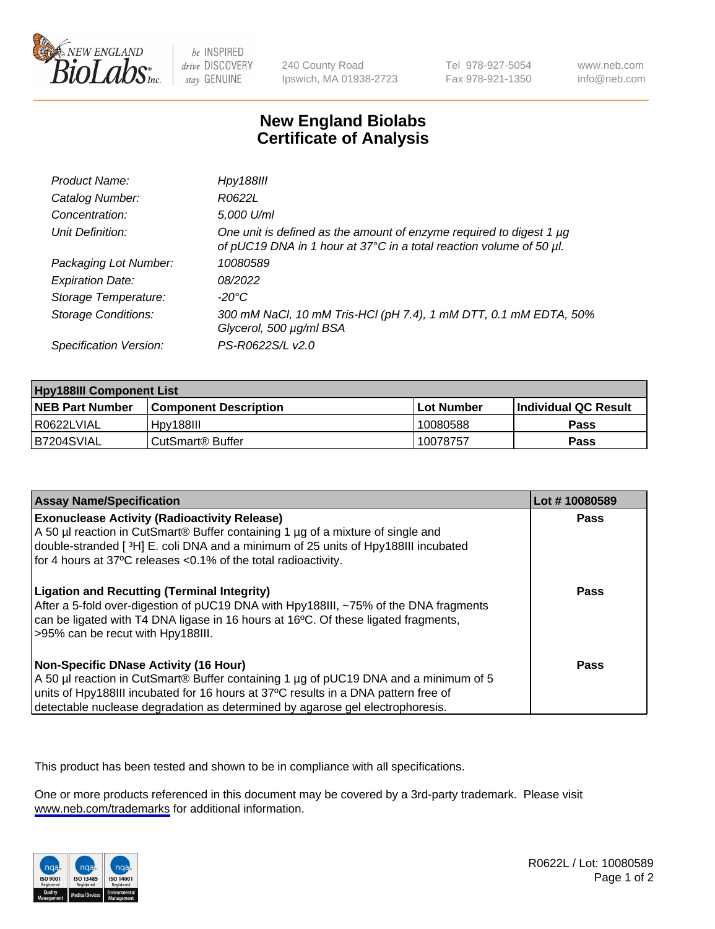

be INSPIRED drive DISCOVERY stay GENUINE

240 County Road Ipswich, MA 01938-2723 Tel 978-927-5054 Fax 978-921-1350

www.neb.com info@neb.com

## **New England Biolabs Certificate of Analysis**

| Product Name:              | <b>Hpy188III</b>                                                                                                                           |
|----------------------------|--------------------------------------------------------------------------------------------------------------------------------------------|
| Catalog Number:            | R0622L                                                                                                                                     |
| Concentration:             | 5,000 U/ml                                                                                                                                 |
| Unit Definition:           | One unit is defined as the amount of enzyme required to digest 1 µg<br>of pUC19 DNA in 1 hour at 37°C in a total reaction volume of 50 µl. |
| Packaging Lot Number:      | 10080589                                                                                                                                   |
| <b>Expiration Date:</b>    | 08/2022                                                                                                                                    |
| Storage Temperature:       | -20°C                                                                                                                                      |
| <b>Storage Conditions:</b> | 300 mM NaCl, 10 mM Tris-HCl (pH 7.4), 1 mM DTT, 0.1 mM EDTA, 50%<br>Glycerol, 500 µg/ml BSA                                                |
| Specification Version:     | PS-R0622S/L v2.0                                                                                                                           |

| <b>Hpy188III Component List</b> |                              |            |                             |  |  |
|---------------------------------|------------------------------|------------|-----------------------------|--|--|
| <b>NEB Part Number</b>          | <b>Component Description</b> | Lot Number | <b>Individual QC Result</b> |  |  |
| I R0622LVIAL                    | Hpy188III                    | 10080588   | Pass                        |  |  |
| IB7204SVIAL                     | CutSmart <sup>®</sup> Buffer | 10078757   | Pass                        |  |  |

| <b>Assay Name/Specification</b>                                                                                                                                                                                                                                                                                                         | Lot #10080589 |
|-----------------------------------------------------------------------------------------------------------------------------------------------------------------------------------------------------------------------------------------------------------------------------------------------------------------------------------------|---------------|
| <b>Exonuclease Activity (Radioactivity Release)</b><br>A 50 µl reaction in CutSmart® Buffer containing 1 µg of a mixture of single and<br>double-stranded [3H] E. coli DNA and a minimum of 25 units of Hpy188III incubated                                                                                                             | Pass          |
| for 4 hours at 37°C releases <0.1% of the total radioactivity.<br><b>Ligation and Recutting (Terminal Integrity)</b><br>After a 5-fold over-digestion of pUC19 DNA with Hpy188III, ~75% of the DNA fragments<br>can be ligated with T4 DNA ligase in 16 hours at 16°C. Of these ligated fragments,<br>>95% can be recut with Hpy188III. | Pass          |
| <b>Non-Specific DNase Activity (16 Hour)</b><br>A 50 µl reaction in CutSmart® Buffer containing 1 µg of pUC19 DNA and a minimum of 5<br>units of Hpy188III incubated for 16 hours at 37°C results in a DNA pattern free of<br>detectable nuclease degradation as determined by agarose gel electrophoresis.                             | <b>Pass</b>   |

This product has been tested and shown to be in compliance with all specifications.

One or more products referenced in this document may be covered by a 3rd-party trademark. Please visit <www.neb.com/trademarks>for additional information.